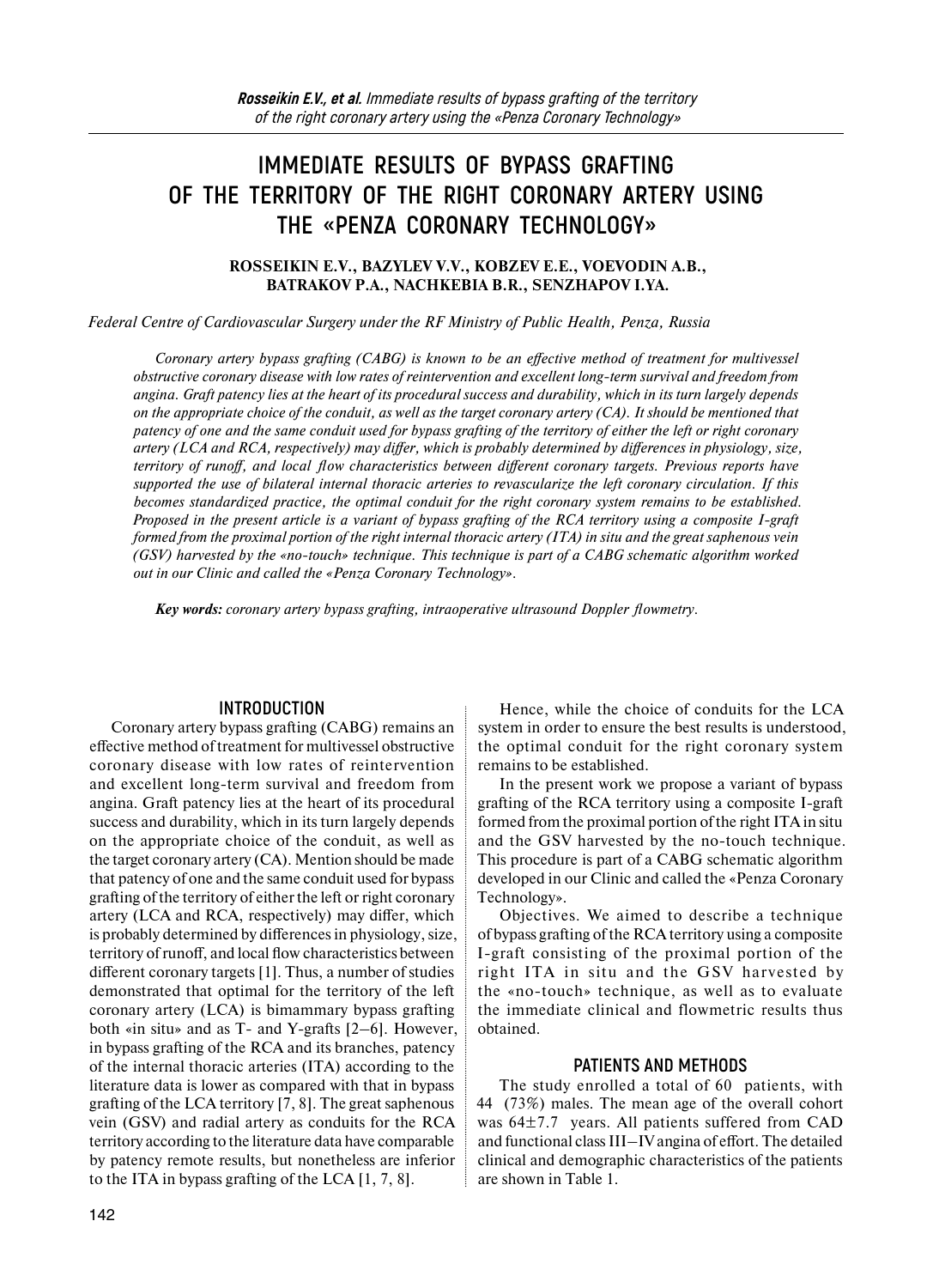# **IMMEDIATE RESULTS OF BYPASS GRAFTING OF THE TERRITORY OF THE RIGHT CORONARY ARTERY USING THE «PENZA CORONARY TECHNOLOGY»**

#### **ROSSEIKIN E.V., BAZYLEV V.V., KOBZEV E.E., VOEVODIN A.B., BATRAKOV P.A., NACHKEBIA B.R., SENZHAPOV I.YA.**

*Federal Centre of Cardiovascular Surgery under the RF Ministry of Public Health, Penza, Russia* 

*Coronary artery bypass grafting (CABG) is known to be an effective method of treatment for multivessel obstructive coronary disease with low rates of reintervention and excellent long-term survival and freedom from angina. Graft patency lies at the heart of its procedural success and durability, which in its turn largely depends on the appropriate choice of the conduit, as well as the target coronary artery (CA). It should be mentioned that patency of one and the same conduit used for bypass grafting of the territory of either the left or right coronary artery (LCA and RCA, respectively) may differ, which is probably determined by differences in physiology, size, territory of runoff, and local flow characteristics between different coronary targets. Previous reports have supported the use of bilateral internal thoracic arteries to revascularize the left coronary circulation. If this becomes standardized practice, the optimal conduit for the right coronary system remains to be established. Proposed in the present article is a variant of bypass grafting of the RCA territory using a composite I-graft formed from the proximal portion of the right internal thoracic artery (ITA) in situ and the great saphenous vein (GSV) harvested by the «no-touch» technique. This technique is part of a CABG schematic algorithm worked out in our Clinic and called the «Penza Coronary Technology».* 

*Key words: coronary artery bypass grafting, intraoperative ultrasound Doppler flowmetry.* 

#### **INTRODUCTION**

Coronary artery bypass grafting (CABG) remains an effective method of treatment for multivessel obstructive coronary disease with low rates of reintervention and excellent long-term survival and freedom from angina. Graft patency lies at the heart of its procedural success and durability, which in its turn largely depends on the appropriate choice of the conduit, as well as the target coronary artery (CA). Mention should be made that patency of one and the same conduit used for bypass grafting of the territory of either the left or right coronary artery (LCA and RCA, respectively) may differ, which is probably determined by differences in physiology, size, territory of runoff, and local flow characteristics between different coronary targets [1]. Thus, a number of studies demonstrated that optimal for the territory of the left coronary artery (LCA) is bimammary bypass grafting both «in situ» and as T- and Y-grafts [2–6]. However, in bypass grafting of the RCA and its branches, patency of the internal thoracic arteries (ITA) according to the literature data is lower as compared with that in bypass grafting of the LCA territory [7, 8]. The great saphenous vein (GSV) and radial artery as conduits for the RCA territory according to the literature data have comparable by patency remote results, but nonetheless are inferior to the ITA in bypass grafting of the LCA [1, 7, 8].

Hence, while the choice of conduits for the LCA system in order to ensure the best results is understood, the optimal conduit for the right coronary system remains to be established.

In the present work we propose a variant of bypass grafting of the RCA territory using a composite I-graft formed from the proximal portion of the right ITA in situ and the GSV harvested by the no-touch technique. This procedure is part of a CABG schematic algorithm developed in our Clinic and called the «Penza Coronary Technology».

Objectives. We aimed to describe a technique of bypass grafting of the RCA territory using a composite I-graft consisting of the proximal portion of the right ITA in situ and the GSV harvested by the «no-touch» technique, as well as to evaluate the immediate clinical and flowmetric results thus obtained.

#### **PATIENTS AND METHODS**

The study enrolled a total of 60 patients, with 44 (73%) males. The mean age of the overall cohort was 64±7.7 years. All patients suffered from CAD and functional class III–IV angina of effort. The detailed clinical and demographic characteristics of the patients are shown in Table 1.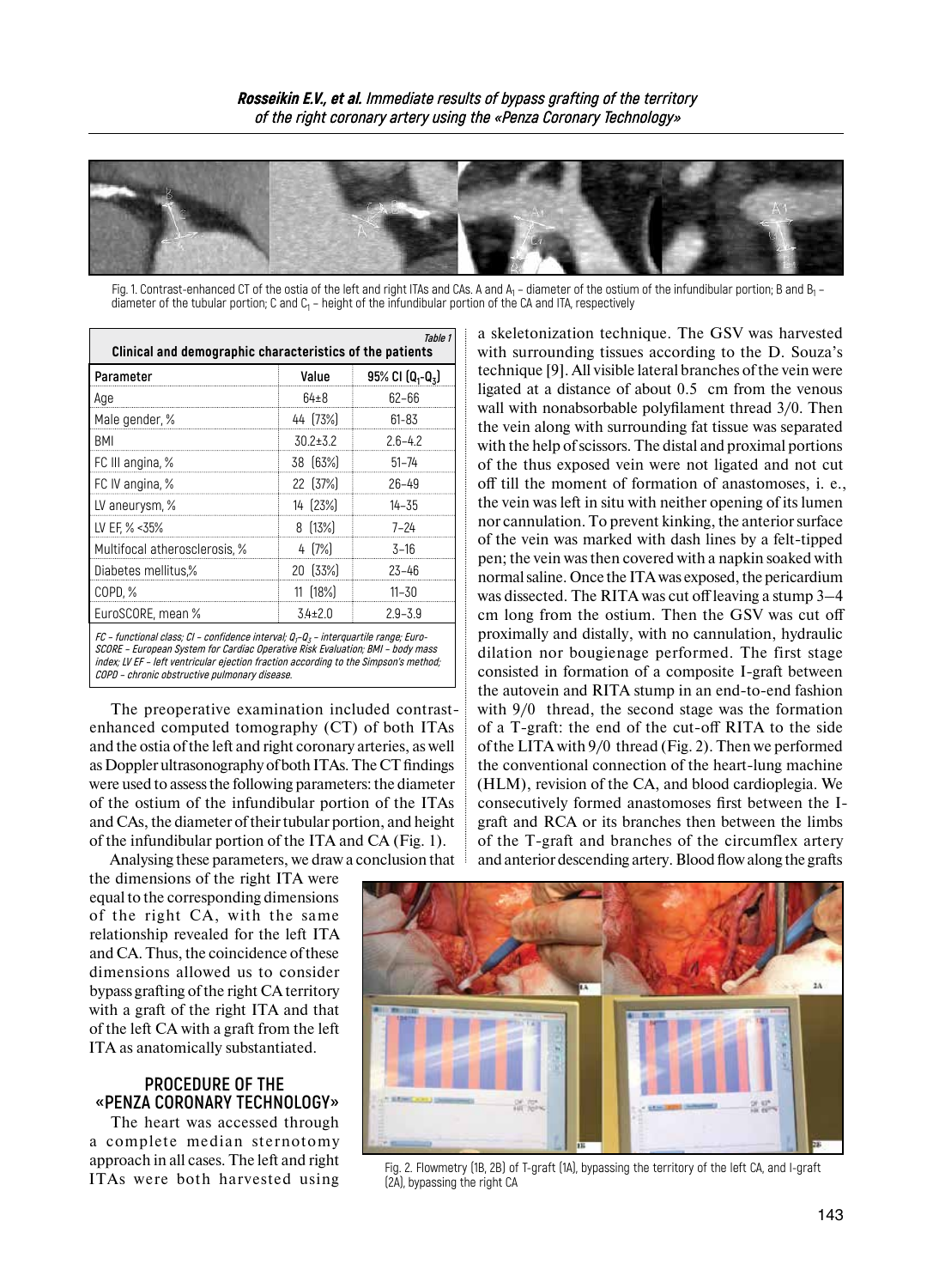

Fig. 1. Contrast-enhanced CT of the ostia of the left and right ITAs and CAs. A and  $A_1$  – diameter of the ostium of the infundibular portion; B and  $B_1$  – diameter of the tubular portion; C and  $C_1$  – height of the infundibular portion of the CA and ITA, respectively

| Table 1<br>Clinical and demographic characteristics of the patients                                                                                                                                                                                                                                                    |                |                    |  |
|------------------------------------------------------------------------------------------------------------------------------------------------------------------------------------------------------------------------------------------------------------------------------------------------------------------------|----------------|--------------------|--|
| Parameter                                                                                                                                                                                                                                                                                                              | Value          | 95% CI $(Q_1-Q_3)$ |  |
| Age                                                                                                                                                                                                                                                                                                                    | $64 \pm 8$     | $62 - 66$          |  |
| Male gender, %                                                                                                                                                                                                                                                                                                         | 44 [73%]       | 61-83              |  |
| <b>BMI</b>                                                                                                                                                                                                                                                                                                             | $30.2 \pm 3.2$ | $2.6 - 4.2$        |  |
| FC III angina, %                                                                                                                                                                                                                                                                                                       | 38 [63%]       | $51 - 74$          |  |
| FC IV angina, %                                                                                                                                                                                                                                                                                                        | 22 (37%)       | $26 - 49$          |  |
| LV aneurysm, %                                                                                                                                                                                                                                                                                                         | 14 (23%)       | $14 - 35$          |  |
| LV EF, % <35%                                                                                                                                                                                                                                                                                                          | 8 (13%)        | $7 - 24$           |  |
| Multifocal atherosclerosis, %                                                                                                                                                                                                                                                                                          | $4[7\%]$       | $3 - 16$           |  |
| Diabetes mellitus,%                                                                                                                                                                                                                                                                                                    | 20 [33%]       | $23 - 46$          |  |
| COPD, %                                                                                                                                                                                                                                                                                                                | 11 (18%)       | $11 - 30$          |  |
| EuroSCORE, mean %                                                                                                                                                                                                                                                                                                      | $3.4 \pm 2.0$  | $2.9 - 3.9$        |  |
| FC - functional class; CI - confidence interval; $Q_t$ - $Q_z$ - interguartile range; Euro-<br>SCORE - European System for Cardiac Operative Risk Evaluation; BMI - body mass<br>index; LV EF - left ventricular ejection fraction according to the Simpson's method;<br>COPD - chronic obstructive pulmonary disease. |                |                    |  |

The preoperative examination included contrastenhanced computed tomography (CT) of both ITAs and the ostia of the left and right coronary arteries, as well as Doppler ultrasonography of both ITAs. TheCT findings were used to assess the following parameters: the diameter of the ostium of the infundibular portion of the ITAs and CAs, the diameter of their tubular portion, and height of the infundibular portion of the ITA and CA (Fig. 1).

a skeletonization technique. The GSV was harvested with surrounding tissues according to the D. Souza's technique [9]. All visible lateral branches of the vein were ligated at a distance of about 0.5 cm from the venous wall with nonabsorbable polyfilament thread 3/0. Then the vein along with surrounding fat tissue was separated with the help of scissors. The distal and proximal portions of the thus exposed vein were not ligated and not cut off till the moment of formation of anastomoses, i. e., the vein was left in situ with neither opening of its lumen nor cannulation. To prevent kinking, the anterior surface of the vein was marked with dash lines by a felt-tipped pen; the vein was then covered with a napkin soaked with normal saline. Once the ITA was exposed, the pericardium was dissected. The RITA was cut off leaving a stump 3–4 cm long from the ostium. Then the GSV was cut off proximally and distally, with no cannulation, hydraulic dilation nor bougienage performed. The first stage consisted in formation of a composite I-graft between the autovein and RITA stump in an end-to-end fashion with  $9/0$  thread, the second stage was the formation of a T-graft: the end of the cut-off RITA to the side of the LITA with 9/0 thread (Fig. 2). Then we performed the conventional connection of the heart-lung machine (HLM), revision of the CA, and blood cardioplegia. We consecutively formed anastomoses first between the Igraft and RCA or its branches then between the limbs of the T-graft and branches of the circumflex artery and anterior descending artery. Blood flow along the grafts

Analysing these parameters, we draw a conclusion that the dimensions of the right ITA were equal to the corresponding dimensions of the right CA, with the same relationship revealed for the left ITA and CA. Thus, the coincidence of these dimensions allowed us to consider bypass grafting of the right CA territory with a graft of the right ITA and that of the left CA with a graft from the left ITA as anatomically substantiated.

## **PROCEDURE OF THE «PENZA CORONARY TECHNOLOGY»**

The heart was accessed through a complete median sternotomy approach in all cases. The left and right ITAs were both harvested using



Fig. 2. Flowmetry (1B, 2B) of T-graft (1A), bypassing the territory of the left CA, and I-graft (2A), bypassing the right CA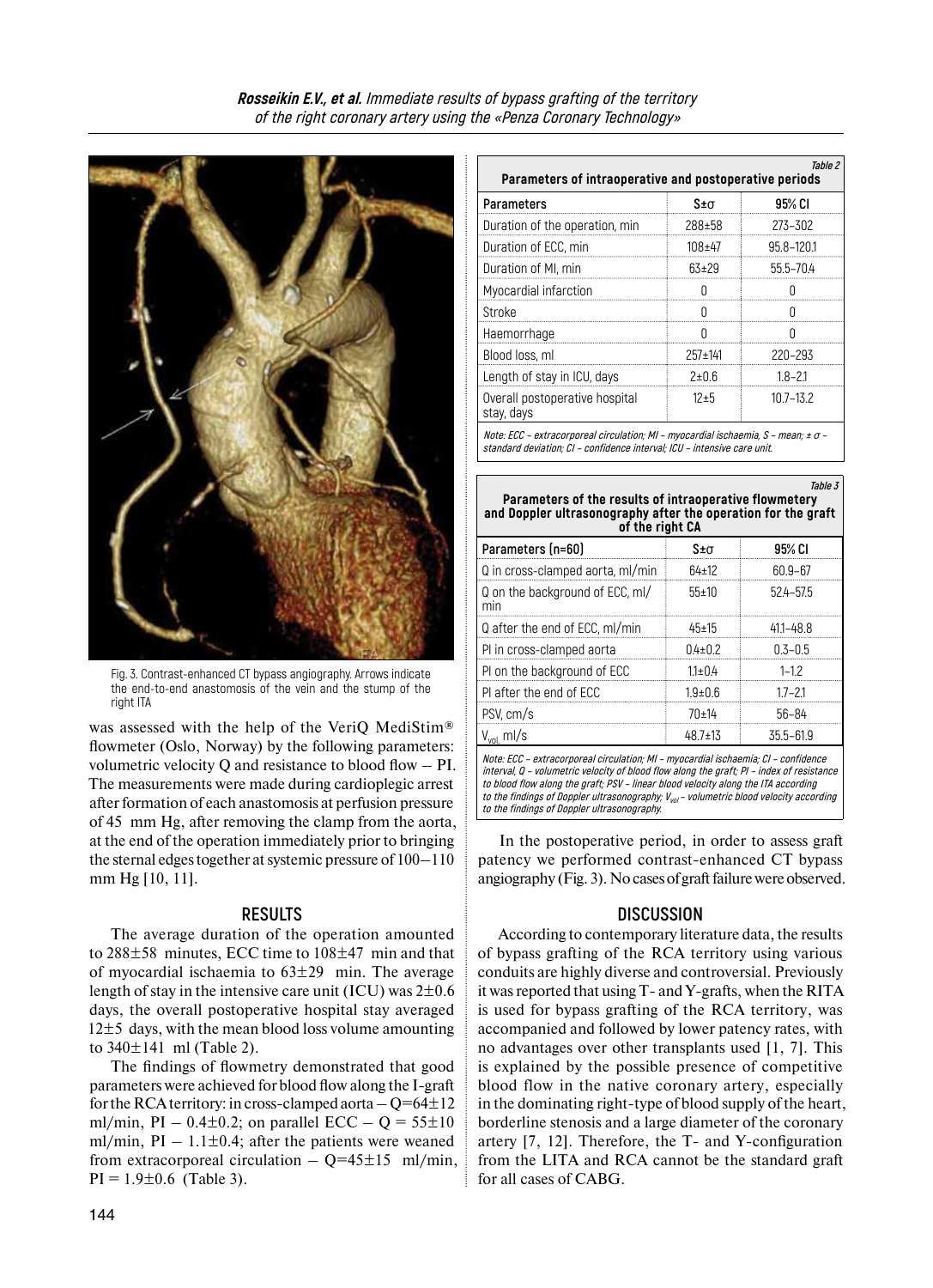

Fig. 3. Contrast-enhanced CT bypass angiography. Arrows indicate the end-to-end anastomosis of the vein and the stump of the right ITA

was assessed with the help of the VeriQ MediStim® flowmeter (Oslo, Norway) by the following parameters: volumetric velocity Q and resistance to blood flow – PI. The measurements were made during cardioplegic arrest after formation of each anastomosis at perfusion pressure of 45 mm Hg, after removing the clamp from the aorta, at the end of the operation immediately prior to bringing the sternal edges together at systemic pressure of  $100-110$ mm Hg [10, 11].

#### **RESULTS**

The average duration of the operation amounted to 288±58 minutes, ECC time to 108±47 min and that of myocardial ischaemia to 63±29 min. The average length of stay in the intensive care unit (ICU) was  $2\pm0.6$ days, the overall postoperative hospital stay averaged  $12\pm5$  days, with the mean blood loss volume amounting to  $340 \pm 141$  ml (Table 2).

The findings of flowmetry demonstrated that good parameters were achieved for blood flow along the I-graft for the RCA territory: in cross-clamped aorta  $-Q=64\pm12$ ml/min, PI – 0.4 $\pm$ 0.2; on parallel ECC – Q = 55 $\pm$ 10 ml/min,  $PI - 1.1 \pm 0.4$ ; after the patients were weaned from extracorporeal circulation  $-$  Q=45 $\pm$ 15 ml/min,  $PI = 1.9 \pm 0.6$  (Table 3).

| Table 2<br>Parameters of intraoperative and postoperative periods                  |                |               |  |  |
|------------------------------------------------------------------------------------|----------------|---------------|--|--|
| <b>Parameters</b>                                                                  | $S \pm \sigma$ | 95% CI        |  |  |
| Duration of the operation, min                                                     | 288±58         | 273-302       |  |  |
| Duration of ECC, min                                                               | $108 + 47$     | 95.8-120.1    |  |  |
| Duration of MI, min                                                                | $63+29$        | 55.5-70.4     |  |  |
| Myocardial infarction                                                              |                |               |  |  |
| Stroke                                                                             |                |               |  |  |
| Haemorrhage                                                                        |                |               |  |  |
| Blood loss, ml                                                                     | $257 \pm 141$  | 220-293       |  |  |
| Length of stay in ICU, days                                                        | 2 ± 0.6        | $1.8 - 2.1$   |  |  |
| Overall postoperative hospital<br>stay, days                                       | $12 + 5$       | $10.7 - 13.2$ |  |  |
| Nata: $ECC$ extraographical eiroulation: ML museordial isobasmia S mean: $+\sigma$ |                |               |  |  |

**Note: ECC – extracorporeal circulation; MI – myocardial ischaemia, S – mean; ±** <sup>σ</sup> **– standard deviation; CI – confidence interval; ICU – intensive care unit.**

| Table 3<br>Parameters of the results of intraoperative flowmetery<br>and Doppler ultrasonography after the operation for the graft<br>of the right CA                                                                                                                                                                                                                                                                                                                         |               |               |  |  |
|-------------------------------------------------------------------------------------------------------------------------------------------------------------------------------------------------------------------------------------------------------------------------------------------------------------------------------------------------------------------------------------------------------------------------------------------------------------------------------|---------------|---------------|--|--|
| Parameters (n=60)                                                                                                                                                                                                                                                                                                                                                                                                                                                             | S±σ           | 95% CI        |  |  |
| Q in cross-clamped aorta, ml/min                                                                                                                                                                                                                                                                                                                                                                                                                                              | $64 \pm 12$   | $60.9 - 67$   |  |  |
| Q on the background of ECC, ml/<br>min                                                                                                                                                                                                                                                                                                                                                                                                                                        | 55±10         | 524-57.5      |  |  |
| Q after the end of ECC, ml/min                                                                                                                                                                                                                                                                                                                                                                                                                                                | $45 \pm 15$   | $411 - 48.8$  |  |  |
| PI in cross-clamped aorta                                                                                                                                                                                                                                                                                                                                                                                                                                                     | $0.4 \pm 0.2$ | $0.3 - 0.5$   |  |  |
| PI on the background of ECC                                                                                                                                                                                                                                                                                                                                                                                                                                                   | $1.1 \pm 0.4$ | $1 - 1.2$     |  |  |
| PI after the end of ECC                                                                                                                                                                                                                                                                                                                                                                                                                                                       | $1.9 + 0.6$   | $1.7 - 2.1$   |  |  |
| PSV, cm/s                                                                                                                                                                                                                                                                                                                                                                                                                                                                     | 70±14         | $56 - 84$     |  |  |
| $V_{vol}$ ml/s                                                                                                                                                                                                                                                                                                                                                                                                                                                                | $48.7 \pm 13$ | $35.5 - 61.9$ |  |  |
| Note: ECC - extracorporeal circulation; MI - myocardial ischaemia; CI - confidence<br>$int  $ $\alpha$ $\alpha$ $\beta$ $\alpha$ $\beta$ $\alpha$ $\beta$ $\alpha$ $\beta$ $\alpha$ $\beta$ $\alpha$ $\beta$ $\beta$ $\alpha$ $\beta$ $\alpha$ $\beta$ $\alpha$ $\beta$ $\alpha$ $\beta$ $\alpha$ $\beta$ $\alpha$ $\beta$ $\alpha$ $\beta$ $\alpha$ $\beta$ $\alpha$ $\alpha$ $\beta$ $\alpha$ $\alpha$ $\beta$ $\alpha$ $\alpha$ $\beta$ $\alpha$ $\alpha$ $\beta$ $\alpha$ |               |               |  |  |

**interval, Q – volumetric velocity of blood flow along the graft; PI – index of resistance to blood flow along the graft; PSV – linear blood velocity along the ITA according to the findings of Doppler ultrasonography; Vvol– volumetric blood velocity according to the findings of Doppler ultrasonography.**

In the postoperative period, in order to assess graft patency we performed contrast-enhanced CT bypass angiography (Fig. 3). No cases of graft failure were observed.

## **DISCUSSION**

According to contemporary literature data, the results of bypass grafting of the RCA territory using various conduits are highly diverse and controversial. Previously itwas reported that using T- and Y-grafts, when the RITA is used for bypass grafting of the RCA territory, was accompanied and followed by lower patency rates, with no advantages over other transplants used [1, 7]. This is explained by the possible presence of competitive blood flow in the native coronary artery, especially in the dominating right-type of blood supply of the heart, borderline stenosis and a large diameter of the coronary artery [7, 12]. Therefore, the T- and Y-configuration from the LITA and RCA cannot be the standard graft for all cases of CABG.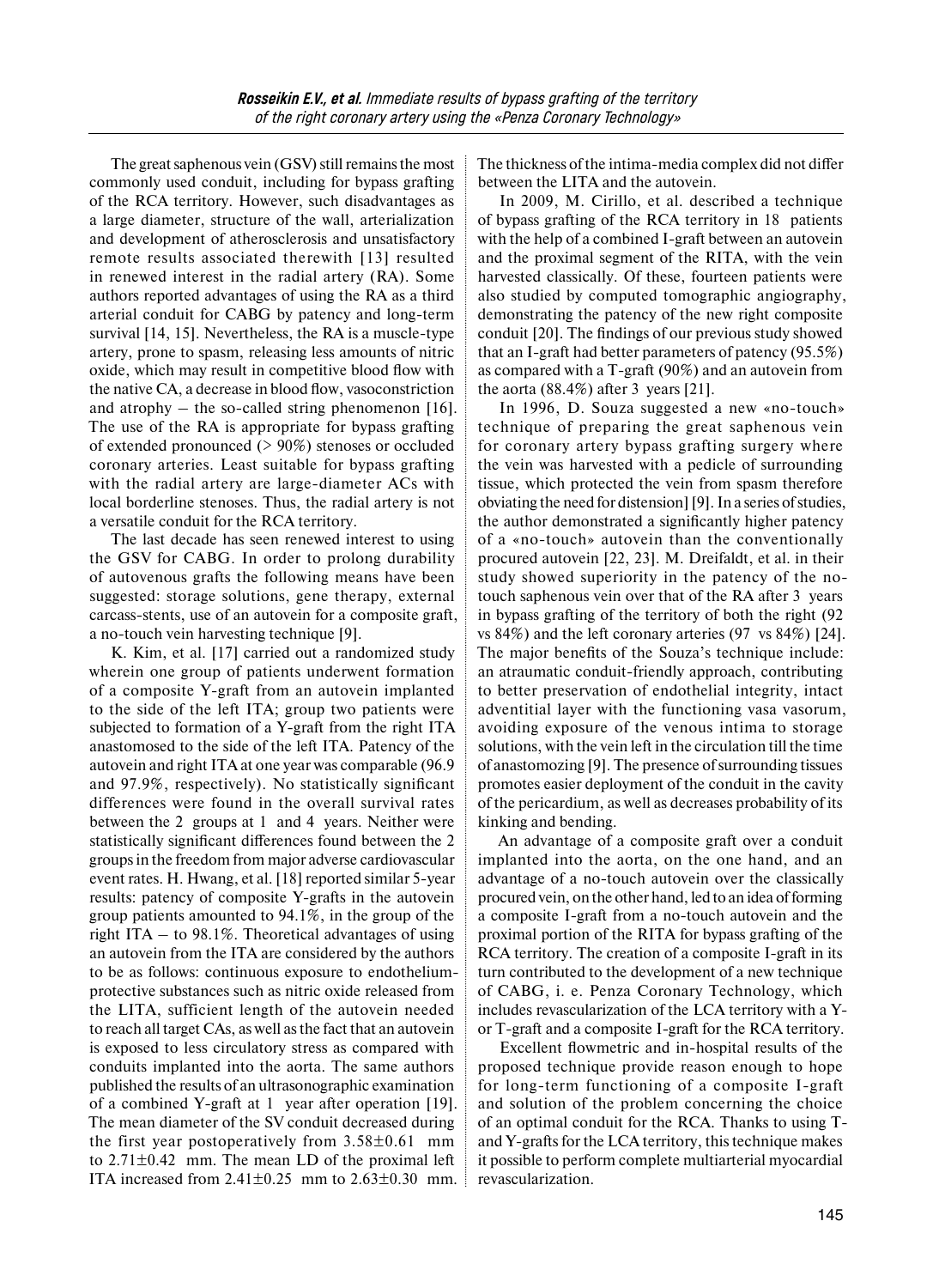The great saphenous vein (GSV) still remains the most commonly used conduit, including for bypass grafting of the RCA territory. However, such disadvantages as a large diameter, structure of the wall, arterialization and development of atherosclerosis and unsatisfactory remote results associated therewith [13] resulted in renewed interest in the radial artery (RA). Some authors reported advantages of using the RA as a third arterial conduit for CABG by patency and long-term survival [14, 15]. Nevertheless, the RA is a muscle-type artery, prone to spasm, releasing less amounts of nitric oxide, which may result in competitive blood flow with the native CA, a decrease in blood flow, vasoconstriction and atrophy – the so-called string phenomenon [16]. The use of the RA is appropriate for bypass grafting of extended pronounced (> 90%) stenoses or occluded coronary arteries. Least suitable for bypass grafting with the radial artery are large-diameter ACs with local borderline stenoses. Thus, the radial artery is not a versatile conduit for the RCA territory.

The last decade has seen renewed interest to using the GSV for CABG. In order to prolong durability of autovenous grafts the following means have been suggested: storage solutions, gene therapy, external carcass-stents, use of an autovein for a composite graft, a no-touch vein harvesting technique [9].

K. Kim, et al. [17] carried out a randomized study wherein one group of patients underwent formation of a composite Y-graft from an autovein implanted to the side of the left ITA; group two patients were subjected to formation of a Y-graft from the right ITA anastomosed to the side of the left ITA. Patency of the autovein and right ITA at one year was comparable (96.9 and 97.9%, respectively). No statistically significant differences were found in the overall survival rates between the 2 groups at 1 and 4 years. Neither were statistically significant differences found between the 2 groups in the freedom from major adverse cardiovascular event rates. H. Hwang, et al. [18] reported similar 5-year results: patency of composite Y-grafts in the autovein group patients amounted to 94.1%, in the group of the right ITA – to 98.1%. Theoretical advantages of using an autovein from the ITA are considered by the authors to be as follows: continuous exposure to endotheliumprotective substances such as nitric oxide released from the LITA, sufficient length of the autovein needed to reach all target CAs, as well as the fact that an autovein is exposed to less circulatory stress as compared with conduits implanted into the aorta. The same authors published the results of an ultrasonographic examination of a combined Y-graft at 1 year after operation [19]. The mean diameter of the SV conduit decreased during the first year postoperatively from  $3.58\pm0.61$  mm to 2.71±0.42 mm. The mean LD of the proximal left ITA increased from  $2.41\pm0.25$  mm to  $2.63\pm0.30$  mm. The thickness of the intima-media complex did not differ between the LITA and the autovein.

In 2009, M. Cirillo, et al. described a technique of bypass grafting of the RCA territory in 18 patients with the help of a combined I-graft between an autovein and the proximal segment of the RITA, with the vein harvested classically. Of these, fourteen patients were also studied by computed tomographic angiography, demonstrating the patency of the new right composite conduit [20]. The findings of our previous study showed that an I-graft had better parameters of patency (95.5%) as compared with a T-graft (90%) and an autovein from the aorta  $(88.4\%)$  after 3 years [21].

In 1996, D. Souza suggested a new «no-touch» technique of preparing the great saphenous vein for coronary artery bypass grafting surgery where the vein was harvested with a pedicle of surrounding tissue, which protected the vein from spasm therefore obviating the need for distension [9]. In a series of studies, the author demonstrated a significantly higher patency of a «no-touch» autovein than the conventionally procured autovein [22, 23]. M. Dreifaldt, et al. in their study showed superiority in the patency of the notouch saphenous vein over that of the RA after 3 years in bypass grafting of the territory of both the right (92 vs 84%) and the left coronary arteries (97 vs 84%) [24]. The major benefits of the Souza's technique include: an atraumatic conduit-friendly approach, contributing to better preservation of endothelial integrity, intact adventitial layer with the functioning vasa vasorum, avoiding exposure of the venous intima to storage solutions, with the vein left in the circulation till the time of anastomozing [9]. The presence of surrounding tissues promotes easier deployment of the conduit in the cavity of the pericardium, as well as decreases probability of its kinking and bending.

An advantage of a composite graft over a conduit implanted into the aorta, on the one hand, and an advantage of a no-touch autovein over the classically procured vein, on the other hand, led to an idea of forming a composite I-graft from a no-touch autovein and the proximal portion of the RITA for bypass grafting of the RCA territory. The creation of a composite I-graft in its turn contributed to the development of a new technique of CABG, i. e. Penza Coronary Technology, which includes revascularization of the LCA territory with a Yor T-graft and a composite I-graft for the RCA territory.

Excellent flowmetric and in-hospital results of the proposed technique provide reason enough to hope for long-term functioning of a composite I-graft and solution of the problem concerning the choice of an optimal conduit for the RCA. Thanks to using Tand Y-grafts for the LCA territory, this technique makes it possible to perform complete multiarterial myocardial revascularization.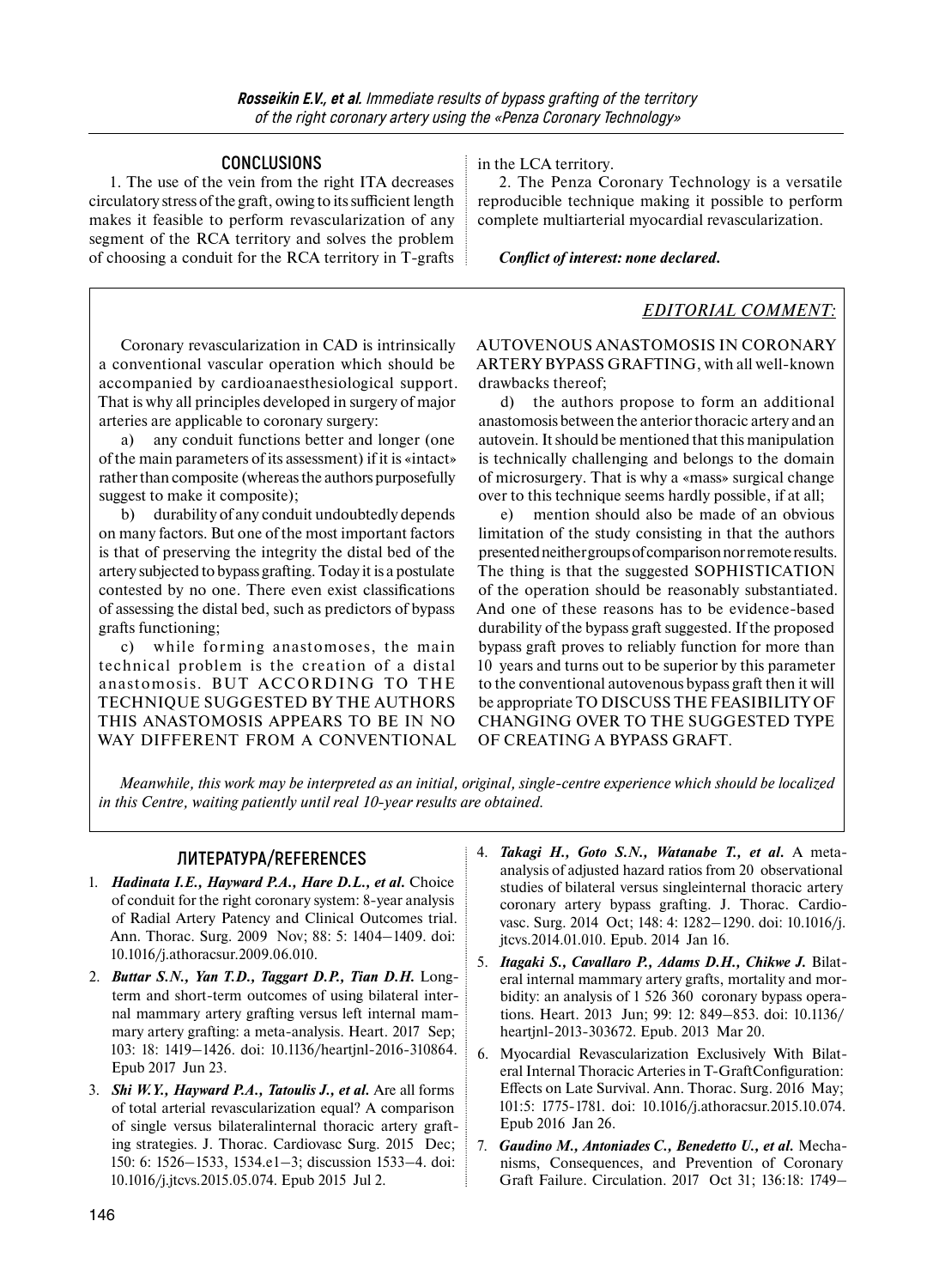### **CONCLUSIONS**

1. The use of the vein from the right ITA decreases circulatory stress of the graft, owing to its sufficient length makes it feasible to perform revascularization of any segment of the RCA territory and solves the problem of choosing a conduit for the RCA territory in T-grafts in the LCA territory.

2. The Penza Coronary Technology is a versatile reproducible technique making it possible to perform complete multiarterial myocardial revascularization.

*Conflict of interest: none declared.* 

### *EDITORIAL COMMENT:*

Coronary revascularization in CAD is intrinsically a conventional vascular operation which should be accompanied by cardioanaesthesiological support. That is why all principles developed in surgery of major arteries are applicable to coronary surgery:

a) any conduit functions better and longer (one of the main parameters of its assessment) if it is «intact» rather than composite (whereas the authors purposefully suggest to make it composite);

b) durability of any conduit undoubtedly depends on many factors. But one of the most important factors is that of preserving the integrity the distal bed of the artery subjected to bypass grafting. Today it is a postulate contested by no one. There even exist classifications of assessing the distal bed, such as predictors of bypass grafts functioning;

c) while forming anastomoses, the main technical problem is the creation of a distal anastomosis. BUT ACCORDING TO THE TECHNIQUE SUGGESTED BY THE AUTHORS THIS ANASTOMOSIS APPEARS TO BE IN NO WAY DIFFERENT FROM A CONVENTIONAL AUTOVENOUS ANASTOMOSIS IN CORONARY ARTERY BYPASS GRAFTING, with all well-known drawbacks thereof;

d) the authors propose to form an additional anastomosis between the anterior thoracic artery and an autovein. Itshould be mentioned that this manipulation is technically challenging and belongs to the domain of microsurgery. That is why a «mass» surgical change over to this technique seems hardly possible, if at all;

e) mention should also be made of an obvious limitation of the study consisting in that the authors presented neither groups of comparison nor remote results. The thing is that the suggested SOPHISTICATION of the operation should be reasonably substantiated. And one of these reasons has to be evidence-based durability of the bypass graft suggested. If the proposed bypass graft proves to reliably function for more than 10 years and turns out to be superior by this parameter to the conventional autovenous bypass graft then it will be appropriate TO DISCUSS THE FEASIBILITY OF CHANGING OVER TO THE SUGGESTED TYPE OF CREATING A BYPASS GRAFT.

*Meanwhile, this work may be interpreted as an initial, original, single-centre experience which should be localized in this Centre, waiting patiently until real 10-year results are obtained.* 

## **ЛИТЕРАТУРА/REFERENCES**

- 1. *Hadinata I.E., Hayward P.A., Hare D.L., et al.* Choice of conduit for the right coronary system: 8-year analysis of Radial Artery Patency and Clinical Outcomes trial. Ann. Thorac. Surg. 2009 Nov; 88: 5: 1404–1409. doi: 10.1016/j.athoracsur.2009.06.010.
- 2. *Buttar S.N., Yan T.D., Taggart D.P., Tian D.H.* Longterm and short-term outcomes of using bilateral internal mammary artery grafting versus left internal mammary artery grafting: a meta-analysis. Heart. 2017 Sep; 103: 18: 1419–1426. doi: 10.1136/heartjnl-2016-310864. Epub 2017 Jun 23.
- 3. *Shi W.Y., Hayward P.A., Tatoulis J., et al.* Are all forms of total arterial revascularization equal? A comparison of single versus bilateralinternal thoracic artery grafting strategies. J. Thorac. Cardiovasc Surg. 2015 Dec; 150: 6: 1526–1533, 1534.e1–3; discussion 1533–4. doi: 10.1016/j.jtcvs.2015.05.074. Epub 2015 Jul 2.
- 4. *Takagi H., Goto S.N., Watanabe T., et al.* A metaanalysis of adjusted hazard ratios from 20 observational studies of bilateral versus singleinternal thoracic artery coronary artery bypass grafting. J. Thorac. Cardiovasc. Surg. 2014 Oct; 148: 4: 1282–1290. doi: 10.1016/j. jtcvs.2014.01.010. Epub. 2014 Jan 16.
- 5. *Itagaki S., Cavallaro P., Adams D.H., Chikwe J.* Bilateral internal mammary artery grafts, mortality and morbidity: an analysis of 1 526 360 coronary bypass operations. Heart. 2013 Jun; 99: 12: 849–853. doi: 10.1136/ heartjnl-2013-303672. Epub. 2013 Mar 20.
- 6. Myocardial Revascularization Exclusively With Bilateral Internal Thoracic Arteries in T-GraftConfiguration: Effects on Late Survival. Ann. Thorac. Surg. 2016 May; 101:5: 1775-1781. doi: 10.1016/j.athoracsur.2015.10.074. Epub 2016 Jan 26.
- 7. *Gaudino M., Antoniades C., Benedetto U., et al.* Mechanisms, Consequences, and Prevention of Coronary Graft Failure. Circulation. 2017 Oct 31; 136:18: 1749–